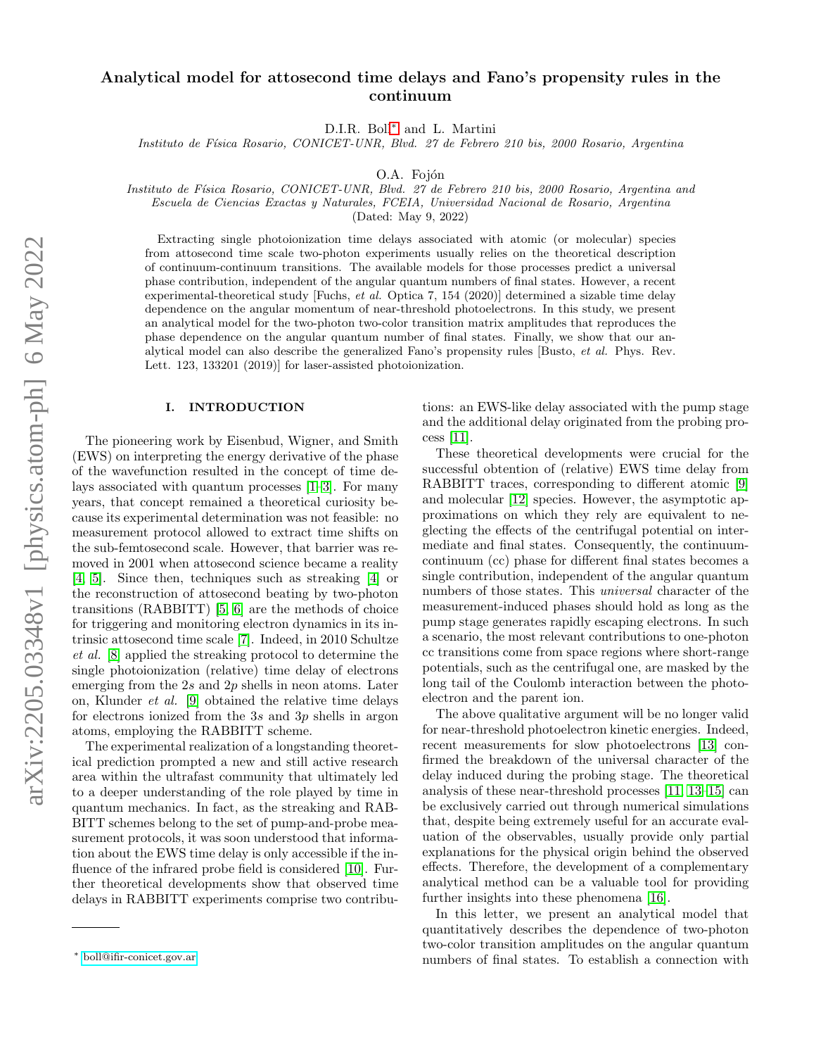## Analytical model for attosecond time delays and Fano's propensity rules in the continuum

D.I.R. Boll[∗](#page-0-0) and L. Martini

Instituto de Física Rosario, CONICET-UNR, Blvd. 27 de Febrero 210 bis, 2000 Rosario, Argentina

O.A. Fojón

Instituto de F´ısica Rosario, CONICET-UNR, Blvd. 27 de Febrero 210 bis, 2000 Rosario, Argentina and Escuela de Ciencias Exactas y Naturales, FCEIA, Universidad Nacional de Rosario, Argentina

(Dated: May 9, 2022)

Extracting single photoionization time delays associated with atomic (or molecular) species from attosecond time scale two-photon experiments usually relies on the theoretical description of continuum-continuum transitions. The available models for those processes predict a universal phase contribution, independent of the angular quantum numbers of final states. However, a recent experimental-theoretical study [Fuchs, et al. Optica 7, 154 (2020)] determined a sizable time delay dependence on the angular momentum of near-threshold photoelectrons. In this study, we present an analytical model for the two-photon two-color transition matrix amplitudes that reproduces the phase dependence on the angular quantum number of final states. Finally, we show that our analytical model can also describe the generalized Fano's propensity rules [Busto, et al. Phys. Rev. Lett. 123, 133201 (2019)] for laser-assisted photoionization.

## I. INTRODUCTION

The pioneering work by Eisenbud, Wigner, and Smith (EWS) on interpreting the energy derivative of the phase of the wavefunction resulted in the concept of time delays associated with quantum processes [\[1](#page-5-0)[–3\]](#page-5-1). For many years, that concept remained a theoretical curiosity because its experimental determination was not feasible: no measurement protocol allowed to extract time shifts on the sub-femtosecond scale. However, that barrier was removed in 2001 when attosecond science became a reality [\[4,](#page-5-2) [5\]](#page-5-3). Since then, techniques such as streaking [\[4\]](#page-5-2) or the reconstruction of attosecond beating by two-photon transitions (RABBITT) [\[5,](#page-5-3) [6\]](#page-5-4) are the methods of choice for triggering and monitoring electron dynamics in its intrinsic attosecond time scale [\[7\]](#page-5-5). Indeed, in 2010 Schultze et al. [\[8\]](#page-5-6) applied the streaking protocol to determine the single photoionization (relative) time delay of electrons emerging from the 2s and  $2p$  shells in neon atoms. Later on, Klunder et al. [\[9\]](#page-5-7) obtained the relative time delays for electrons ionized from the 3s and 3p shells in argon atoms, employing the RABBITT scheme.

The experimental realization of a longstanding theoretical prediction prompted a new and still active research area within the ultrafast community that ultimately led to a deeper understanding of the role played by time in quantum mechanics. In fact, as the streaking and RAB-BITT schemes belong to the set of pump-and-probe measurement protocols, it was soon understood that information about the EWS time delay is only accessible if the in-fluence of the infrared probe field is considered [\[10\]](#page-5-8). Further theoretical developments show that observed time delays in RABBITT experiments comprise two contribu-

tions: an EWS-like delay associated with the pump stage and the additional delay originated from the probing process [\[11\]](#page-5-9).

These theoretical developments were crucial for the successful obtention of (relative) EWS time delay from RABBITT traces, corresponding to different atomic [\[9\]](#page-5-7) and molecular [\[12\]](#page-5-10) species. However, the asymptotic approximations on which they rely are equivalent to neglecting the effects of the centrifugal potential on intermediate and final states. Consequently, the continuumcontinuum (cc) phase for different final states becomes a single contribution, independent of the angular quantum numbers of those states. This *universal* character of the measurement-induced phases should hold as long as the pump stage generates rapidly escaping electrons. In such a scenario, the most relevant contributions to one-photon cc transitions come from space regions where short-range potentials, such as the centrifugal one, are masked by the long tail of the Coulomb interaction between the photoelectron and the parent ion.

The above qualitative argument will be no longer valid for near-threshold photoelectron kinetic energies. Indeed, recent measurements for slow photoelectrons [\[13\]](#page-5-11) confirmed the breakdown of the universal character of the delay induced during the probing stage. The theoretical analysis of these near-threshold processes [\[11,](#page-5-9) [13–](#page-5-11)[15\]](#page-5-12) can be exclusively carried out through numerical simulations that, despite being extremely useful for an accurate evaluation of the observables, usually provide only partial explanations for the physical origin behind the observed effects. Therefore, the development of a complementary analytical method can be a valuable tool for providing further insights into these phenomena [\[16\]](#page-5-13).

In this letter, we present an analytical model that quantitatively describes the dependence of two-photon two-color transition amplitudes on the angular quantum numbers of final states. To establish a connection with

<span id="page-0-0"></span><sup>∗</sup> [boll@ifir-conicet.gov.ar](mailto:boll@ifir-conicet.gov.ar)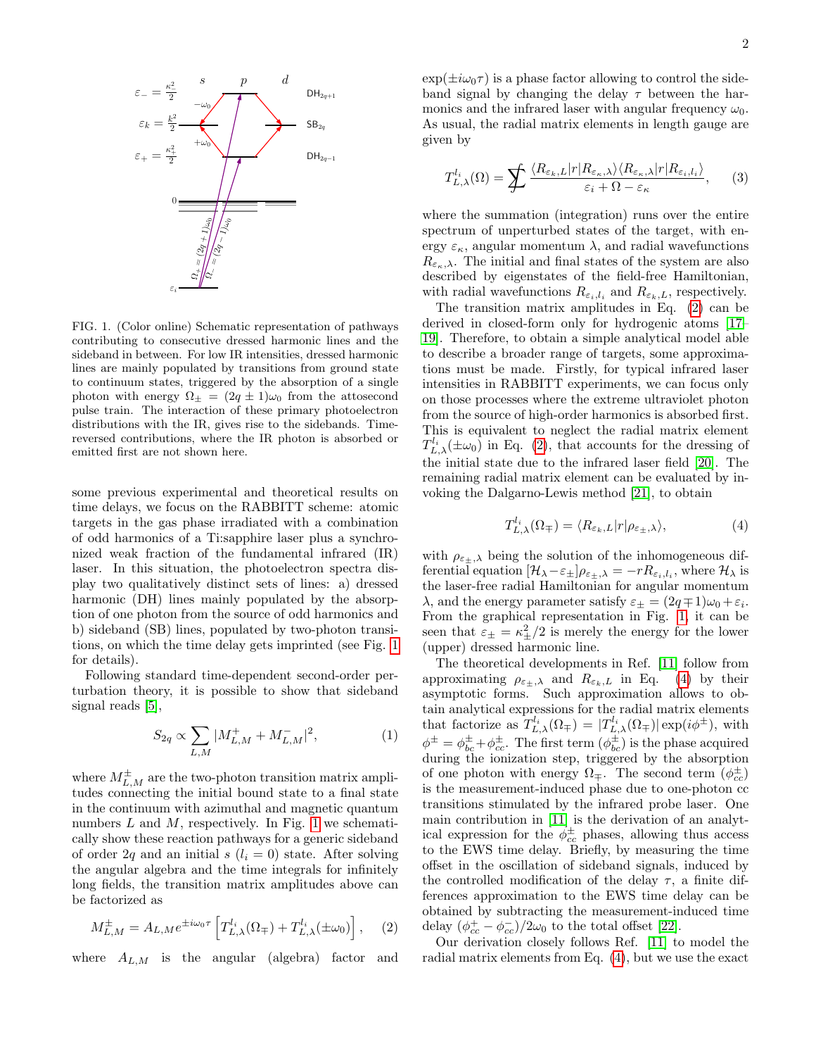

<span id="page-1-0"></span>FIG. 1. (Color online) Schematic representation of pathways contributing to consecutive dressed harmonic lines and the sideband in between. For low IR intensities, dressed harmonic lines are mainly populated by transitions from ground state to continuum states, triggered by the absorption of a single photon with energy  $\Omega_{\pm} = (2q \pm 1)\omega_0$  from the attosecond pulse train. The interaction of these primary photoelectron distributions with the IR, gives rise to the sidebands. Timereversed contributions, where the IR photon is absorbed or emitted first are not shown here.

some previous experimental and theoretical results on time delays, we focus on the RABBITT scheme: atomic targets in the gas phase irradiated with a combination of odd harmonics of a Ti:sapphire laser plus a synchronized weak fraction of the fundamental infrared (IR) laser. In this situation, the photoelectron spectra display two qualitatively distinct sets of lines: a) dressed harmonic (DH) lines mainly populated by the absorption of one photon from the source of odd harmonics and b) sideband (SB) lines, populated by two-photon transitions, on which the time delay gets imprinted (see Fig. [1](#page-1-0) for details).

Following standard time-dependent second-order perturbation theory, it is possible to show that sideband signal reads [\[5\]](#page-5-3),

$$
S_{2q} \propto \sum_{L,M} |M_{L,M}^+ + M_{L,M}^-|^2,\tag{1}
$$

where  $M_{L,M}^{\pm}$  are the two-photon transition matrix amplitudes connecting the initial bound state to a final state in the continuum with azimuthal and magnetic quantum numbers  $L$  and  $M$ , respectively. In Fig. [1](#page-1-0) we schematically show these reaction pathways for a generic sideband of order 2q and an initial s  $(l_i = 0)$  state. After solving the angular algebra and the time integrals for infinitely long fields, the transition matrix amplitudes above can be factorized as

$$
M_{L,M}^{\pm} = A_{L,M} e^{\pm i\omega_0 \tau} \left[ T_{L,\lambda}^{l_i}(\Omega_{\mp}) + T_{L,\lambda}^{l_i}(\pm \omega_0) \right], \quad (2)
$$

where  $A_{L,M}$  is the angular (algebra) factor and

 $\exp(\pm i\omega_0\tau)$  is a phase factor allowing to control the sideband signal by changing the delay  $\tau$  between the harmonics and the infrared laser with angular frequency  $\omega_0$ . As usual, the radial matrix elements in length gauge are given by

$$
T_{L,\lambda}^{l_i}(\Omega) = \sum_{\tau} \frac{\langle R_{\varepsilon_k, L}|r| R_{\varepsilon_k, \lambda} \rangle \langle R_{\varepsilon_k, \lambda}|r| R_{\varepsilon_i, l_i} \rangle}{\varepsilon_i + \Omega - \varepsilon_\kappa}, \qquad (3)
$$

where the summation (integration) runs over the entire spectrum of unperturbed states of the target, with energy  $\varepsilon_{\kappa}$ , angular momentum  $\lambda$ , and radial wavefunctions  $R_{\varepsilon_{\kappa},\lambda}$ . The initial and final states of the system are also described by eigenstates of the field-free Hamiltonian, with radial wavefunctions  $R_{\varepsilon_i,l_i}$  and  $R_{\varepsilon_k,L}$ , respectively.

The transition matrix amplitudes in Eq. [\(2\)](#page-1-1) can be derived in closed-form only for hydrogenic atoms [\[17–](#page-5-14) [19\]](#page-5-15). Therefore, to obtain a simple analytical model able to describe a broader range of targets, some approximations must be made. Firstly, for typical infrared laser intensities in RABBITT experiments, we can focus only on those processes where the extreme ultraviolet photon from the source of high-order harmonics is absorbed first. This is equivalent to neglect the radial matrix element  $T_{L,\lambda}^{l_i}(\pm \omega_0)$  in Eq. [\(2\)](#page-1-1), that accounts for the dressing of the initial state due to the infrared laser field [\[20\]](#page-5-16). The remaining radial matrix element can be evaluated by invoking the Dalgarno-Lewis method [\[21\]](#page-5-17), to obtain

<span id="page-1-2"></span>
$$
T_{L,\lambda}^{l_i}(\Omega_{\mp}) = \langle R_{\varepsilon_k,L}|r|\rho_{\varepsilon_{\pm},\lambda}\rangle,\tag{4}
$$

with  $\rho_{\varepsilon\pm,\lambda}$  being the solution of the inhomogeneous differential equation  $[\mathcal{H}_{\lambda} - \varepsilon_{\pm}] \rho_{\varepsilon_{\pm},\lambda} = -rR_{\varepsilon_i,l_i}$ , where  $\mathcal{H}_{\lambda}$  is the laser-free radial Hamiltonian for angular momentum λ, and the energy parameter satisfy  $\varepsilon_{\pm} = (2q \mp 1)\omega_0 + \varepsilon_i$ . From the graphical representation in Fig. [1,](#page-1-0) it can be seen that  $\varepsilon_{\pm} = \kappa_{\pm}^2/2$  is merely the energy for the lower (upper) dressed harmonic line.

The theoretical developments in Ref. [\[11\]](#page-5-9) follow from approximating  $\rho_{\varepsilon_{\pm},\lambda}$  and  $R_{\varepsilon_k,L}$  in Eq. [\(4\)](#page-1-2) by their asymptotic forms. Such approximation allows to obtain analytical expressions for the radial matrix elements that factorize as  $T_{L,\lambda}^{l_i}(\Omega_{\mp}) = |T_{L,\lambda}^{l_i}(\Omega_{\mp})| \exp(i\phi^{\pm}),$  with  $\phi^{\pm} = \phi_{bc}^{\pm} + \phi_{cc}^{\pm}$ . The first term  $(\phi_{bc}^{\pm})$  is the phase acquired during the ionization step, triggered by the absorption of one photon with energy  $\Omega_{\pm}$ . The second term  $(\phi_{cc}^{\pm})$ is the measurement-induced phase due to one-photon cc transitions stimulated by the infrared probe laser. One main contribution in [\[11\]](#page-5-9) is the derivation of an analytical expression for the  $\phi_{cc}^{\pm}$  phases, allowing thus access to the EWS time delay. Briefly, by measuring the time offset in the oscillation of sideband signals, induced by the controlled modification of the delay  $\tau$ , a finite differences approximation to the EWS time delay can be obtained by subtracting the measurement-induced time delay  $(\phi_{cc}^+ - \phi_{cc}^-)/2\omega_0$  to the total offset [\[22\]](#page-5-18).

<span id="page-1-1"></span>Our derivation closely follows Ref. [\[11\]](#page-5-9) to model the radial matrix elements from Eq. [\(4\)](#page-1-2), but we use the exact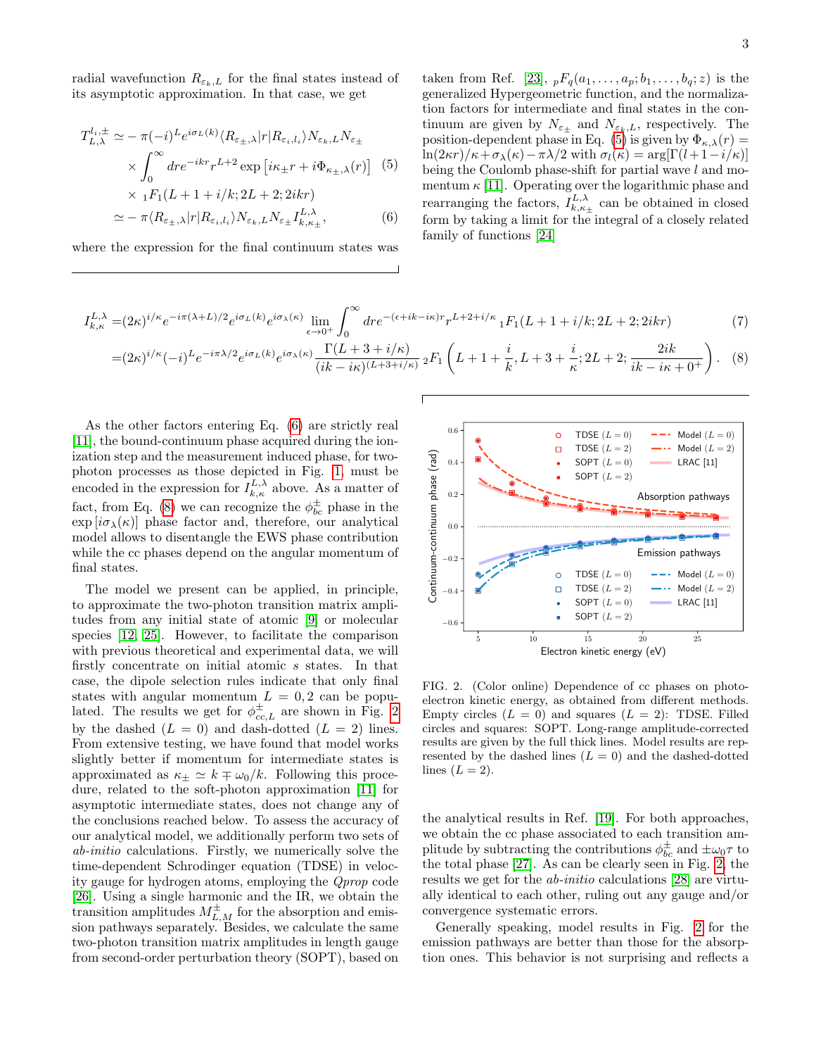radial wavefunction  $R_{\varepsilon_k,L}$  for the final states instead of its asymptotic approximation. In that case, we get

$$
T_{L,\lambda}^{l_i, \pm} \simeq -\pi (-i)^L e^{i\sigma_L(k)} \langle R_{\varepsilon_{\pm},\lambda} | r | R_{\varepsilon_i,l_i} \rangle N_{\varepsilon_k, L} N_{\varepsilon_{\pm}} \times \int_0^\infty dr e^{-ikr} r^{L+2} \exp \left[ i\kappa_{\pm} r + i\Phi_{\kappa_{\pm},\lambda}(r) \right] \tag{5}
$$
  
 
$$
\times {}_{\lambda} F_1(L+1+i/k \cdot 2L+2 \cdot 2ikr)
$$

$$
\sim 1^{I} \Gamma(\nu + 1 + \iota/\kappa, 2L + 2, 2\kappa \kappa)
$$
  

$$
\simeq -\pi \langle R_{\varepsilon_{\pm},\lambda} | r | R_{\varepsilon_i,l_i} \rangle N_{\varepsilon_k,L} N_{\varepsilon_{\pm}} I_{k,\kappa_{\pm}}^{L,\lambda},
$$
 (6)

where the expression for the final continuum states was

<span id="page-2-1"></span><span id="page-2-0"></span>taken from Ref. [\[23\]](#page-5-19),  ${}_{p}F_{q}(a_1, \ldots, a_p; b_1, \ldots, b_q; z)$  is the generalized Hypergeometric function, and the normalization factors for intermediate and final states in the continuum are given by  $N_{\varepsilon_{\pm}}$  and  $N_{\varepsilon_k,L}$ , respectively. The position-dependent phase in Eq. [\(5\)](#page-2-0) is given by  $\Phi_{\kappa,\lambda}(r) =$  $\ln(2\kappa r)/\kappa+\sigma_{\lambda}(\kappa)-\pi\lambda/2$  with  $\sigma_{l}(\kappa) = \arg[\Gamma(l+1-i/\kappa)]$ being the Coulomb phase-shift for partial wave l and momentum  $\kappa$  [\[11\]](#page-5-9). Operating over the logarithmic phase and rearranging the factors,  $I_{k,\kappa_{\pm}}^{L,\lambda}$  can be obtained in closed form by taking a limit for the integral of a closely related family of functions [\[24\]](#page-5-20)

$$
I_{k,\kappa}^{L,\lambda} = (2\kappa)^{i/\kappa} e^{-i\pi(\lambda+L)/2} e^{i\sigma_L(k)} e^{i\sigma_\lambda(\kappa)} \lim_{\epsilon \to 0^+} \int_0^\infty dr e^{-(\epsilon+ik-i\kappa)r} r^{L+2+i/\kappa} {}_1F_1(L+1+i/k; 2L+2; 2ikr) \tag{7}
$$
  

$$
= (2\kappa)^{i/\kappa} (-i)^L e^{-i\pi\lambda/2} e^{i\sigma_L(k)} e^{i\sigma_\lambda(\kappa)} \frac{\Gamma(L+3+i/\kappa)}{(ik-i\kappa)^{(L+3+i/\kappa)}} {}_2F_1\left(L+1+\frac{i}{k}, L+3+\frac{i}{\kappa}; 2L+2; \frac{2ik}{ik-i\kappa+0^+}\right). \tag{8}
$$

As the other factors entering Eq. [\(6\)](#page-2-1) are strictly real [\[11\]](#page-5-9), the bound-continuum phase acquired during the ionization step and the measurement induced phase, for twophoton processes as those depicted in Fig. [1,](#page-1-0) must be encoded in the expression for  $I_{k,\kappa}^{L,\lambda}$  above. As a matter of fact, from Eq. [\(8\)](#page-2-2) we can recognize the  $\phi_{bc}^{\pm}$  phase in the  $\exp[i\sigma_{\lambda}(\kappa)]$  phase factor and, therefore, our analytical model allows to disentangle the EWS phase contribution while the cc phases depend on the angular momentum of final states.

The model we present can be applied, in principle, to approximate the two-photon transition matrix amplitudes from any initial state of atomic [\[9\]](#page-5-7) or molecular species [\[12,](#page-5-10) [25\]](#page-5-21). However, to facilitate the comparison with previous theoretical and experimental data, we will firstly concentrate on initial atomic s states. In that case, the dipole selection rules indicate that only final states with angular momentum  $L = 0, 2$  can be populated. The results we get for  $\phi_{cc,L}^{\pm}$  are shown in Fig. [2](#page-2-3) by the dashed  $(L = 0)$  and dash-dotted  $(L = 2)$  lines. From extensive testing, we have found that model works slightly better if momentum for intermediate states is approximated as  $\kappa_{\pm} \simeq k \mp \omega_0/k$ . Following this procedure, related to the soft-photon approximation [\[11\]](#page-5-9) for asymptotic intermediate states, does not change any of the conclusions reached below. To assess the accuracy of our analytical model, we additionally perform two sets of ab-initio calculations. Firstly, we numerically solve the time-dependent Schrodinger equation (TDSE) in velocity gauge for hydrogen atoms, employing the Qprop code [\[26\]](#page-5-22). Using a single harmonic and the IR, we obtain the transition amplitudes  $M_{L,M}^{\pm}$  for the absorption and emission pathways separately. Besides, we calculate the same two-photon transition matrix amplitudes in length gauge from second-order perturbation theory (SOPT), based on



<span id="page-2-2"></span> $ik - i\kappa + 0^+$ 

<span id="page-2-3"></span>FIG. 2. (Color online) Dependence of cc phases on photoelectron kinetic energy, as obtained from different methods. Empty circles  $(L = 0)$  and squares  $(L = 2)$ : TDSE. Filled circles and squares: SOPT. Long-range amplitude-corrected results are given by the full thick lines. Model results are represented by the dashed lines  $(L = 0)$  and the dashed-dotted lines  $(L = 2)$ .

the analytical results in Ref. [\[19\]](#page-5-15). For both approaches, we obtain the cc phase associated to each transition amplitude by subtracting the contributions  $\phi_{bc}^{\pm}$  and  $\pm \omega_0 \tau$  to the total phase [\[27\]](#page-5-23). As can be clearly seen in Fig. [2,](#page-2-3) the results we get for the ab-initio calculations [\[28\]](#page-5-24) are virtually identical to each other, ruling out any gauge and/or convergence systematic errors.

Generally speaking, model results in Fig. [2](#page-2-3) for the emission pathways are better than those for the absorption ones. This behavior is not surprising and reflects a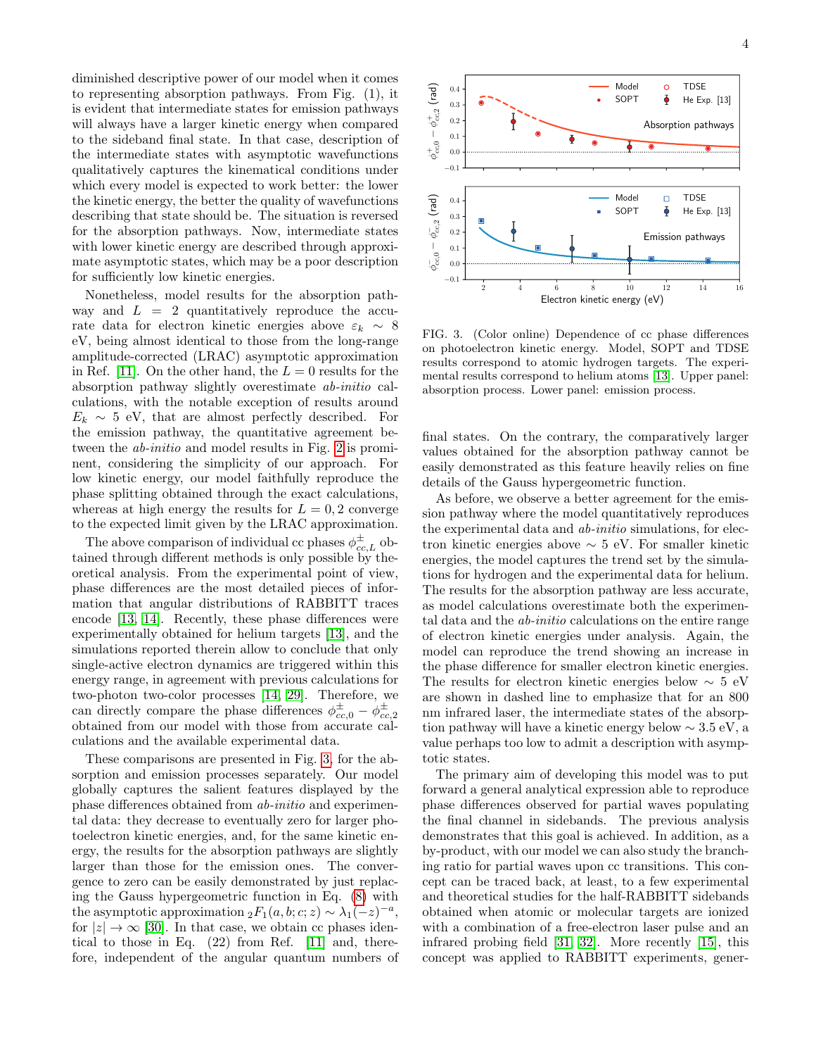diminished descriptive power of our model when it comes to representing absorption pathways. From Fig. (1), it is evident that intermediate states for emission pathways will always have a larger kinetic energy when compared to the sideband final state. In that case, description of the intermediate states with asymptotic wavefunctions qualitatively captures the kinematical conditions under which every model is expected to work better: the lower the kinetic energy, the better the quality of wavefunctions describing that state should be. The situation is reversed for the absorption pathways. Now, intermediate states with lower kinetic energy are described through approximate asymptotic states, which may be a poor description for sufficiently low kinetic energies.

Nonetheless, model results for the absorption pathway and  $L = 2$  quantitatively reproduce the accurate data for electron kinetic energies above  $\varepsilon_k \sim 8$ eV, being almost identical to those from the long-range amplitude-corrected (LRAC) asymptotic approximation in Ref. [\[11\]](#page-5-9). On the other hand, the  $L = 0$  results for the absorption pathway slightly overestimate ab-initio calculations, with the notable exception of results around  $E_k \sim 5$  eV, that are almost perfectly described. For the emission pathway, the quantitative agreement between the ab-initio and model results in Fig. [2](#page-2-3) is prominent, considering the simplicity of our approach. For low kinetic energy, our model faithfully reproduce the phase splitting obtained through the exact calculations, whereas at high energy the results for  $L = 0.2$  converge to the expected limit given by the LRAC approximation.

The above comparison of individual cc phases  $\phi_{cc,L}^{\pm}$  obtained through different methods is only possible by theoretical analysis. From the experimental point of view, phase differences are the most detailed pieces of information that angular distributions of RABBITT traces encode [\[13,](#page-5-11) [14\]](#page-5-25). Recently, these phase differences were experimentally obtained for helium targets [\[13\]](#page-5-11), and the simulations reported therein allow to conclude that only single-active electron dynamics are triggered within this energy range, in agreement with previous calculations for two-photon two-color processes [\[14,](#page-5-25) [29\]](#page-5-26). Therefore, we can directly compare the phase differences  $\phi_{cc,0}^{\pm} - \phi_{cc,2}^{\pm}$ obtained from our model with those from accurate calculations and the available experimental data.

These comparisons are presented in Fig. [3,](#page-3-0) for the absorption and emission processes separately. Our model globally captures the salient features displayed by the phase differences obtained from ab-initio and experimental data: they decrease to eventually zero for larger photoelectron kinetic energies, and, for the same kinetic energy, the results for the absorption pathways are slightly larger than those for the emission ones. The convergence to zero can be easily demonstrated by just replacing the Gauss hypergeometric function in Eq. [\(8\)](#page-2-2) with the asymptotic approximation  ${}_2F_1(a, b; c; z) \sim \lambda_1(-z)^{-a}$ , for  $|z| \to \infty$  [\[30\]](#page-5-27). In that case, we obtain cc phases identical to those in Eq. (22) from Ref. [\[11\]](#page-5-9) and, therefore, independent of the angular quantum numbers of



<span id="page-3-0"></span>FIG. 3. (Color online) Dependence of cc phase differences on photoelectron kinetic energy. Model, SOPT and TDSE results correspond to atomic hydrogen targets. The experimental results correspond to helium atoms [\[13\]](#page-5-11). Upper panel: absorption process. Lower panel: emission process.

final states. On the contrary, the comparatively larger values obtained for the absorption pathway cannot be easily demonstrated as this feature heavily relies on fine details of the Gauss hypergeometric function.

As before, we observe a better agreement for the emission pathway where the model quantitatively reproduces the experimental data and ab-initio simulations, for electron kinetic energies above  $\sim 5$  eV. For smaller kinetic energies, the model captures the trend set by the simulations for hydrogen and the experimental data for helium. The results for the absorption pathway are less accurate, as model calculations overestimate both the experimental data and the ab-initio calculations on the entire range of electron kinetic energies under analysis. Again, the model can reproduce the trend showing an increase in the phase difference for smaller electron kinetic energies. The results for electron kinetic energies below  $\sim 5$  eV are shown in dashed line to emphasize that for an 800 nm infrared laser, the intermediate states of the absorption pathway will have a kinetic energy below  $\sim 3.5 \text{ eV}$ , a value perhaps too low to admit a description with asymptotic states.

The primary aim of developing this model was to put forward a general analytical expression able to reproduce phase differences observed for partial waves populating the final channel in sidebands. The previous analysis demonstrates that this goal is achieved. In addition, as a by-product, with our model we can also study the branching ratio for partial waves upon cc transitions. This concept can be traced back, at least, to a few experimental and theoretical studies for the half-RABBITT sidebands obtained when atomic or molecular targets are ionized with a combination of a free-electron laser pulse and an infrared probing field [\[31,](#page-6-0) [32\]](#page-6-1). More recently [\[15\]](#page-5-12), this concept was applied to RABBITT experiments, gener-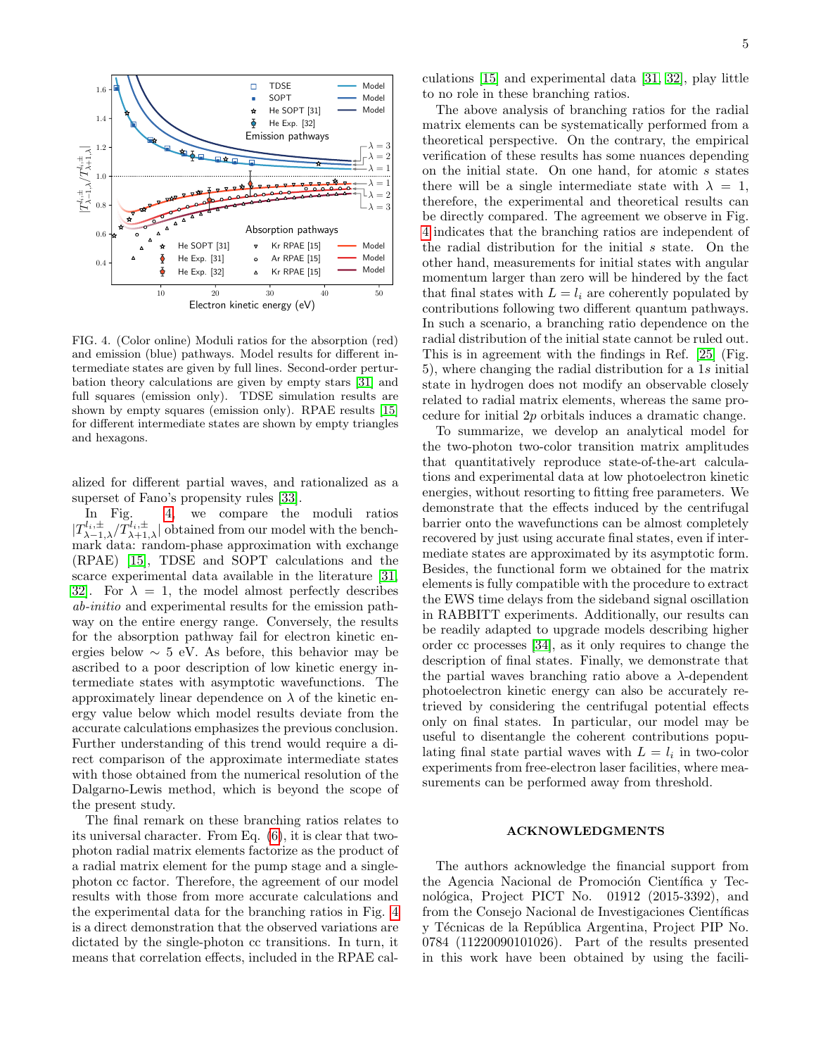

<span id="page-4-0"></span>FIG. 4. (Color online) Moduli ratios for the absorption (red) and emission (blue) pathways. Model results for different intermediate states are given by full lines. Second-order perturbation theory calculations are given by empty stars [\[31\]](#page-6-0) and full squares (emission only). TDSE simulation results are shown by empty squares (emission only). RPAE results [\[15\]](#page-5-12) for different intermediate states are shown by empty triangles and hexagons.

alized for different partial waves, and rationalized as a superset of Fano's propensity rules [\[33\]](#page-6-2).

In Fig. [4,](#page-4-0) we compare the moduli ratios  $|T_{\lambda-1,\lambda}^{l_i,\pm}/T_{\lambda+1,\lambda}^{l_i,\pm}|$  obtained from our model with the benchmark data: random-phase approximation with exchange (RPAE) [\[15\]](#page-5-12), TDSE and SOPT calculations and the scarce experimental data available in the literature [\[31,](#page-6-0) 32. For  $\lambda = 1$ , the model almost perfectly describes ab-initio and experimental results for the emission pathway on the entire energy range. Conversely, the results for the absorption pathway fail for electron kinetic energies below  $\sim 5$  eV. As before, this behavior may be ascribed to a poor description of low kinetic energy intermediate states with asymptotic wavefunctions. The approximately linear dependence on  $\lambda$  of the kinetic energy value below which model results deviate from the accurate calculations emphasizes the previous conclusion. Further understanding of this trend would require a direct comparison of the approximate intermediate states with those obtained from the numerical resolution of the Dalgarno-Lewis method, which is beyond the scope of the present study.

The final remark on these branching ratios relates to its universal character. From Eq. [\(6\)](#page-2-1), it is clear that twophoton radial matrix elements factorize as the product of a radial matrix element for the pump stage and a singlephoton cc factor. Therefore, the agreement of our model results with those from more accurate calculations and the experimental data for the branching ratios in Fig. [4](#page-4-0) is a direct demonstration that the observed variations are dictated by the single-photon cc transitions. In turn, it means that correlation effects, included in the RPAE calculations [\[15\]](#page-5-12) and experimental data [\[31,](#page-6-0) [32\]](#page-6-1), play little to no role in these branching ratios.

The above analysis of branching ratios for the radial matrix elements can be systematically performed from a theoretical perspective. On the contrary, the empirical verification of these results has some nuances depending on the initial state. On one hand, for atomic s states there will be a single intermediate state with  $\lambda = 1$ , therefore, the experimental and theoretical results can be directly compared. The agreement we observe in Fig. [4](#page-4-0) indicates that the branching ratios are independent of the radial distribution for the initial s state. On the other hand, measurements for initial states with angular momentum larger than zero will be hindered by the fact that final states with  $L = l_i$  are coherently populated by contributions following two different quantum pathways. In such a scenario, a branching ratio dependence on the radial distribution of the initial state cannot be ruled out. This is in agreement with the findings in Ref. [\[25\]](#page-5-21) (Fig. 5), where changing the radial distribution for a 1s initial state in hydrogen does not modify an observable closely related to radial matrix elements, whereas the same procedure for initial 2p orbitals induces a dramatic change.

To summarize, we develop an analytical model for the two-photon two-color transition matrix amplitudes that quantitatively reproduce state-of-the-art calculations and experimental data at low photoelectron kinetic energies, without resorting to fitting free parameters. We demonstrate that the effects induced by the centrifugal barrier onto the wavefunctions can be almost completely recovered by just using accurate final states, even if intermediate states are approximated by its asymptotic form. Besides, the functional form we obtained for the matrix elements is fully compatible with the procedure to extract the EWS time delays from the sideband signal oscillation in RABBITT experiments. Additionally, our results can be readily adapted to upgrade models describing higher order cc processes [\[34\]](#page-6-3), as it only requires to change the description of final states. Finally, we demonstrate that the partial waves branching ratio above a  $\lambda$ -dependent photoelectron kinetic energy can also be accurately retrieved by considering the centrifugal potential effects only on final states. In particular, our model may be useful to disentangle the coherent contributions populating final state partial waves with  $L = l_i$  in two-color experiments from free-electron laser facilities, where measurements can be performed away from threshold.

## ACKNOWLEDGMENTS

The authors acknowledge the financial support from the Agencia Nacional de Promoción Científica y Tecnológica, Project PICT No. 01912 (2015-3392), and from the Consejo Nacional de Investigaciones Científicas y Técnicas de la República Argentina, Project PIP No. 0784 (11220090101026). Part of the results presented in this work have been obtained by using the facili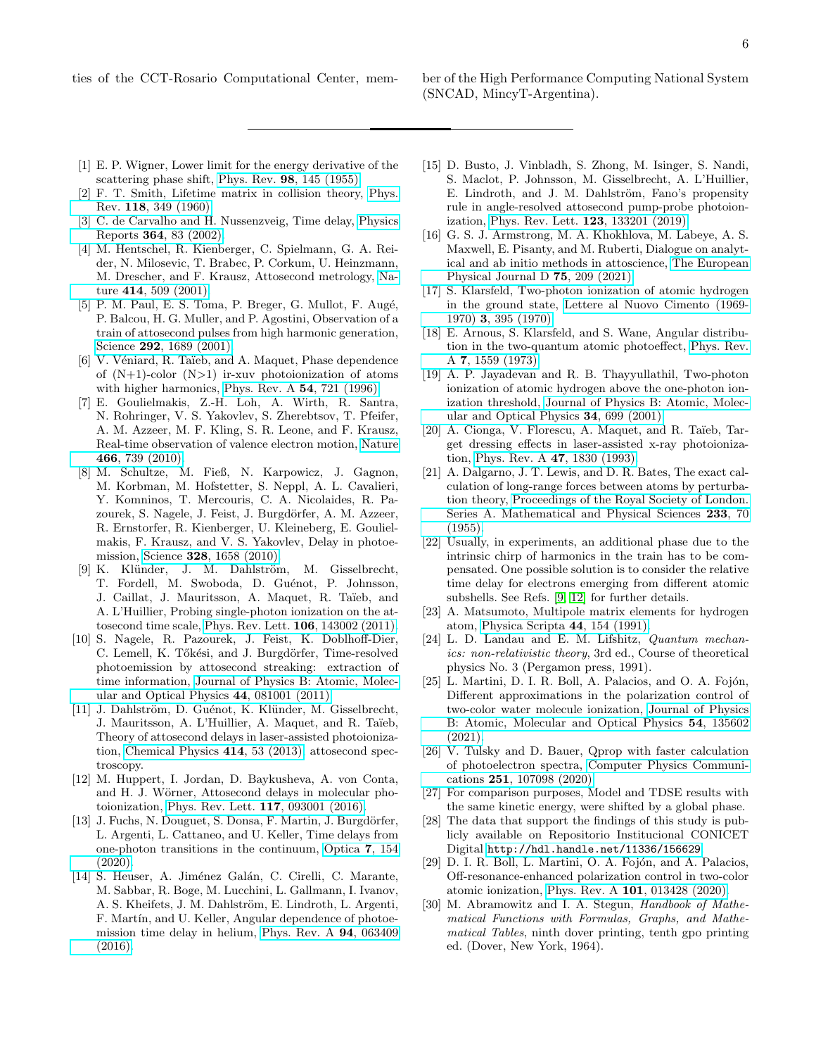ties of the CCT-Rosario Computational Center, mem- ber of the High Performance Computing National System

- <span id="page-5-0"></span>[1] E. P. Wigner, Lower limit for the energy derivative of the scattering phase shift, Phys. Rev. 98[, 145 \(1955\).](https://doi.org/10.1103/PhysRev.98.145)
- [2] F. T. Smith, Lifetime matrix in collision theory, [Phys.](https://doi.org/10.1103/PhysRev.118.349) Rev. 118[, 349 \(1960\).](https://doi.org/10.1103/PhysRev.118.349)
- <span id="page-5-1"></span>[3] C. de Carvalho and H. Nussenzveig, Time delay, [Physics](https://doi.org/https://doi.org/10.1016/S0370-1573(01)00092-8) Reports 364[, 83 \(2002\).](https://doi.org/https://doi.org/10.1016/S0370-1573(01)00092-8)
- <span id="page-5-2"></span>[4] M. Hentschel, R. Kienberger, C. Spielmann, G. A. Reider, N. Milosevic, T. Brabec, P. Corkum, U. Heinzmann, M. Drescher, and F. Krausz, Attosecond metrology, [Na](https://doi.org/10.1038/35107000)ture 414[, 509 \(2001\).](https://doi.org/10.1038/35107000)
- <span id="page-5-3"></span>[5] P. M. Paul, E. S. Toma, P. Breger, G. Mullot, F. Augé, P. Balcou, H. G. Muller, and P. Agostini, Observation of a train of attosecond pulses from high harmonic generation, Science **292**[, 1689 \(2001\).](https://doi.org/10.1126/science.1059413)
- <span id="page-5-4"></span>[6] V. Véniard, R. Taïeb, and A. Maquet, Phase dependence of  $(N+1)$ -color  $(N>1)$  ir-xuv photoionization of atoms with higher harmonics, [Phys. Rev. A](https://doi.org/10.1103/PhysRevA.54.721) 54, 721 (1996).
- <span id="page-5-5"></span>[7] E. Goulielmakis, Z.-H. Loh, A. Wirth, R. Santra, N. Rohringer, V. S. Yakovlev, S. Zherebtsov, T. Pfeifer, A. M. Azzeer, M. F. Kling, S. R. Leone, and F. Krausz, Real-time observation of valence electron motion, [Nature](https://doi.org/10.1038/nature09212) 466[, 739 \(2010\).](https://doi.org/10.1038/nature09212)
- <span id="page-5-6"></span>[8] M. Schultze, M. Fieß, N. Karpowicz, J. Gagnon, M. Korbman, M. Hofstetter, S. Neppl, A. L. Cavalieri, Y. Komninos, T. Mercouris, C. A. Nicolaides, R. Pazourek, S. Nagele, J. Feist, J. Burgdörfer, A. M. Azzeer, R. Ernstorfer, R. Kienberger, U. Kleineberg, E. Goulielmakis, F. Krausz, and V. S. Yakovlev, Delay in photoemission, Science 328[, 1658 \(2010\).](https://doi.org/10.1126/science.1189401)
- <span id="page-5-7"></span>[9] K. Klünder, J. M. Dahlström, M. Gisselbrecht, T. Fordell, M. Swoboda, D. Guénot, P. Johnsson, J. Caillat, J. Mauritsson, A. Maquet, R. Taïeb, and A. L'Huillier, Probing single-photon ionization on the attosecond time scale, [Phys. Rev. Lett.](https://doi.org/10.1103/PhysRevLett.106.143002) 106, 143002 (2011).
- <span id="page-5-8"></span>[10] S. Nagele, R. Pazourek, J. Feist, K. Doblhoff-Dier, C. Lemell, K. Tőkési, and J. Burgdörfer, Time-resolved photoemission by attosecond streaking: extraction of time information, [Journal of Physics B: Atomic, Molec](https://doi.org/10.1088/0953-4075/44/8/081001)[ular and Optical Physics](https://doi.org/10.1088/0953-4075/44/8/081001) 44, 081001 (2011).
- <span id="page-5-9"></span>[11] J. Dahlström, D. Guénot, K. Klünder, M. Gisselbrecht, J. Mauritsson, A. L'Huillier, A. Maquet, and R. Taïeb, Theory of attosecond delays in laser-assisted photoionization, [Chemical Physics](https://doi.org/https://doi.org/10.1016/j.chemphys.2012.01.017) 414, 53 (2013), attosecond spectroscopy.
- <span id="page-5-10"></span>[12] M. Huppert, I. Jordan, D. Baykusheva, A. von Conta, and H. J. Wörner, Attosecond delays in molecular photoionization, [Phys. Rev. Lett.](https://doi.org/10.1103/PhysRevLett.117.093001) 117, 093001 (2016).
- <span id="page-5-11"></span>[13] J. Fuchs, N. Douguet, S. Donsa, F. Martin, J. Burgdörfer, L. Argenti, L. Cattaneo, and U. Keller, Time delays from one-photon transitions in the continuum, [Optica](https://doi.org/10.1364/OPTICA.378639) 7, 154 [\(2020\).](https://doi.org/10.1364/OPTICA.378639)
- <span id="page-5-25"></span>[14] S. Heuser, A. Jiménez Galán, C. Cirelli, C. Marante, M. Sabbar, R. Boge, M. Lucchini, L. Gallmann, I. Ivanov, A. S. Kheifets, J. M. Dahlström, E. Lindroth, L. Argenti, F. Martín, and U. Keller, Angular dependence of photoemission time delay in helium, [Phys. Rev. A](https://doi.org/10.1103/PhysRevA.94.063409) 94, 063409 [\(2016\).](https://doi.org/10.1103/PhysRevA.94.063409)
- <span id="page-5-12"></span>[15] D. Busto, J. Vinbladh, S. Zhong, M. Isinger, S. Nandi, S. Maclot, P. Johnsson, M. Gisselbrecht, A. L'Huillier, E. Lindroth, and J. M. Dahlström, Fano's propensity rule in angle-resolved attosecond pump-probe photoionization, [Phys. Rev. Lett.](https://doi.org/10.1103/PhysRevLett.123.133201) 123, 133201 (2019).
- <span id="page-5-13"></span>[16] G. S. J. Armstrong, M. A. Khokhlova, M. Labeye, A. S. Maxwell, E. Pisanty, and M. Ruberti, Dialogue on analytical and ab initio methods in attoscience, [The European](https://doi.org/10.1140/epjd/s10053-021-00207-3) [Physical Journal D](https://doi.org/10.1140/epjd/s10053-021-00207-3) 75, 209 (2021).
- <span id="page-5-14"></span>[17] S. Klarsfeld, Two-photon ionization of atomic hydrogen in the ground state, [Lettere al Nuovo Cimento \(1969-](https://doi.org/10.1007/BF02819081) 1970) 3[, 395 \(1970\).](https://doi.org/10.1007/BF02819081)
- [18] E. Arnous, S. Klarsfeld, and S. Wane, Angular distribution in the two-quantum atomic photoeffect, [Phys. Rev.](https://doi.org/10.1103/PhysRevA.7.1559) A 7[, 1559 \(1973\).](https://doi.org/10.1103/PhysRevA.7.1559)
- <span id="page-5-15"></span>[19] A. P. Jayadevan and R. B. Thayyullathil, Two-photon ionization of atomic hydrogen above the one-photon ionization threshold, [Journal of Physics B: Atomic, Molec](https://doi.org/10.1088/0953-4075/34/4/317)[ular and Optical Physics](https://doi.org/10.1088/0953-4075/34/4/317) 34, 699 (2001).
- <span id="page-5-16"></span>[20] A. Cionga, V. Florescu, A. Maquet, and R. Taïeb, Target dressing effects in laser-assisted x-ray photoionization, [Phys. Rev. A](https://doi.org/10.1103/PhysRevA.47.1830) 47, 1830 (1993).
- <span id="page-5-17"></span>[21] A. Dalgarno, J. T. Lewis, and D. R. Bates, The exact calculation of long-range forces between atoms by perturbation theory, [Proceedings of the Royal Society of London.](https://doi.org/10.1098/rspa.1955.0246) [Series A. Mathematical and Physical Sciences](https://doi.org/10.1098/rspa.1955.0246) 233, 70 [\(1955\).](https://doi.org/10.1098/rspa.1955.0246)
- <span id="page-5-18"></span>[22] Usually, in experiments, an additional phase due to the intrinsic chirp of harmonics in the train has to be compensated. One possible solution is to consider the relative time delay for electrons emerging from different atomic subshells. See Refs. [\[9,](#page-5-7) [12\]](#page-5-10) for further details.
- <span id="page-5-19"></span>[23] A. Matsumoto, Multipole matrix elements for hydrogen atom, [Physica Scripta](https://doi.org/10.1088/0031-8949/44/2/009) 44, 154 (1991).
- <span id="page-5-20"></span>[24] L. D. Landau and E. M. Lifshitz, *Quantum mechan*ics: non-relativistic theory, 3rd ed., Course of theoretical physics No. 3 (Pergamon press, 1991).
- <span id="page-5-21"></span>[25] L. Martini, D. I. R. Boll, A. Palacios, and O. A. Fojón, Different approximations in the polarization control of two-color water molecule ionization, [Journal of Physics](https://doi.org/10.1088/1361-6455/abfc67) [B: Atomic, Molecular and Optical Physics](https://doi.org/10.1088/1361-6455/abfc67) 54, 135602 [\(2021\).](https://doi.org/10.1088/1361-6455/abfc67)
- <span id="page-5-22"></span>[26] V. Tulsky and D. Bauer, Qprop with faster calculation of photoelectron spectra, [Computer Physics Communi](https://doi.org/https://doi.org/10.1016/j.cpc.2019.107098)cations 251[, 107098 \(2020\).](https://doi.org/https://doi.org/10.1016/j.cpc.2019.107098)
- <span id="page-5-23"></span>[27] For comparison purposes, Model and TDSE results with the same kinetic energy, were shifted by a global phase.
- <span id="page-5-24"></span>[28] The data that support the findings of this study is publicly available on Repositorio Institucional CONICET Digital <http://hdl.handle.net/11336/156629>.
- <span id="page-5-26"></span>[29] D. I. R. Boll, L. Martini, O. A. Fojón, and A. Palacios, Off-resonance-enhanced polarization control in two-color atomic ionization, Phys. Rev. A 101[, 013428 \(2020\).](https://doi.org/10.1103/PhysRevA.101.013428)
- <span id="page-5-27"></span>[30] M. Abramowitz and I. A. Stegun, *Handbook of Mathe*matical Functions with Formulas, Graphs, and Mathematical Tables, ninth dover printing, tenth gpo printing ed. (Dover, New York, 1964).